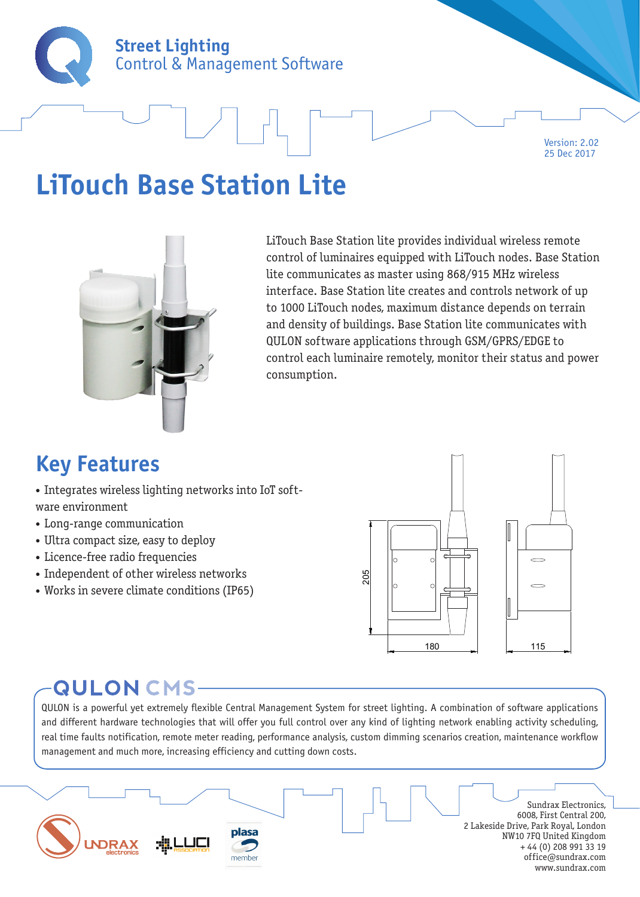

Version: 2.02 25 Dec 2017

## **LiTouch Base Station Lite**



LiTouch Base Station lite provides individual wireless remote control of luminaires equipped with LiTouch nodes. Base Station lite communicates as master using 868/915 MHz wireless interface. Base Station lite creates and controls network of up to 1000 LiTouch nodes, maximum distance depends on terrain and density of buildings. Base Station lite communicates with QULON software applications through GSM/GPRS/EDGE to control each luminaire remotely, monitor their status and power consumption.

### **Key Features**

- Integrates wireless lighting networks into IoT software environment
- Long-range communication
- Ultra compact size, easy to deploy
- Licence-free radio frequencies
- Independent of other wireless networks
- Works in severe climate conditions (IP65)



### **QULON CMS-**

QULON is a powerful yet extremely flexible Central Management System for street lighting. A combination of software applications and different hardware technologies that will offer you full control over any kind of lighting network enabling activity scheduling, real time faults notification, remote meter reading, performance analysis, custom dimming scenarios creation, maintenance workflow management and much more, increasing efficiency and cutting down costs.

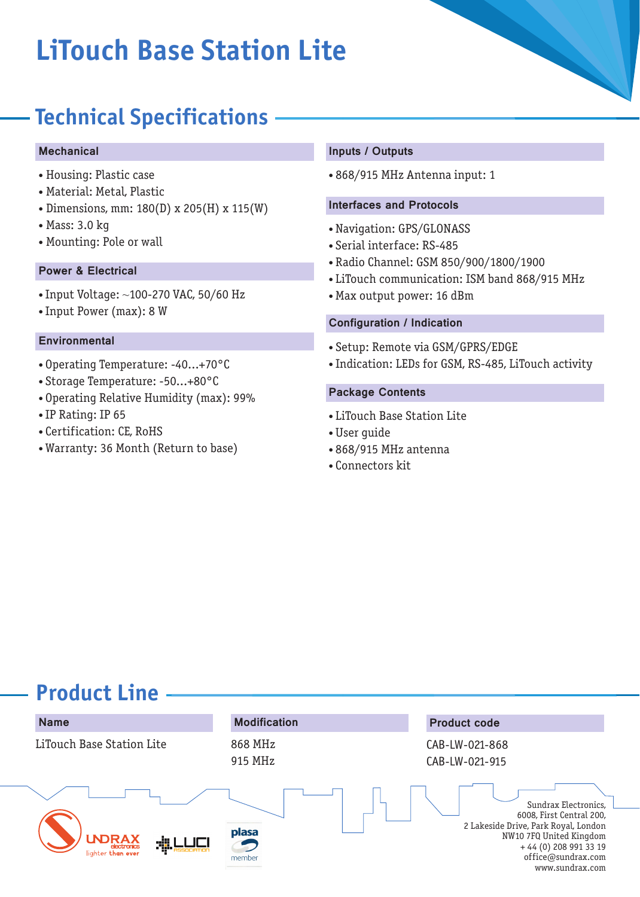# **LiTouch Base Station Lite**

### **Technical Specifications**

#### Mechanical

- Housing: Plastic case
- Material: Metal, Plastic
- Dimensions, mm: 180(D) x 205(H) x 115(W)
- Mass: 3.0 kg
- Mounting: Pole or wall

#### Power & Electrical

- Input Voltage: ~100-270 VAC, 50/60 Hz
- Input Power (max): 8 W

#### **Environmental**

- Operating Temperature: -40...+70°C
- Storage Temperature: -50...+80°C
- Operating Relative Humidity (max): 99%
- IP Rating: IP 65
- Certification: CE, RoHS
- Warranty: 36 Month (Return to base)

#### Inputs / Outputs

• 868/915 MHz Antenna input: 1

#### Interfaces and Protocols

- Navigation: GPS/GLONASS
- Serial interface: RS-485
- Radio Channel: GSM 850/900/1800/1900
- LiTouch communication: ISM band 868/915 MHz
- Max output power: 16 dBm

#### Configuration / Indication

- Setup: Remote via GSM/GPRS/EDGE
- Indication: LEDs for GSM, RS-485, LiTouch activity

#### Package Contents

- LiTouch Base Station Lite
- User guide
- 868/915 MHz antenna
- Connectors kit